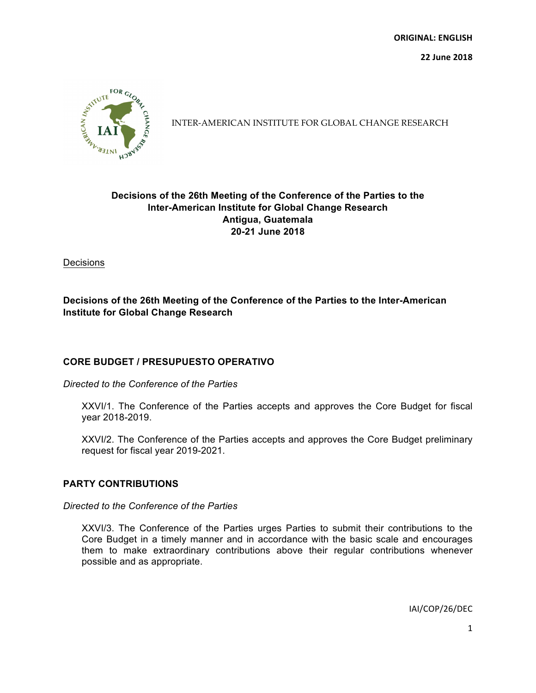**22 June 2018**



INTER-AMERICAN INSTITUTE FOR GLOBAL CHANGE RESEARCH

# **Decisions of the 26th Meeting of the Conference of the Parties to the Inter-American Institute for Global Change Research Antigua, Guatemala 20-21 June 2018**

**Decisions** 

# **Decisions of the 26th Meeting of the Conference of the Parties to the Inter-American Institute for Global Change Research**

# **CORE BUDGET / PRESUPUESTO OPERATIVO**

#### *Directed to the Conference of the Parties*

XXVI/1. The Conference of the Parties accepts and approves the Core Budget for fiscal year 2018-2019.

XXVI/2. The Conference of the Parties accepts and approves the Core Budget preliminary request for fiscal year 2019-2021.

## **PARTY CONTRIBUTIONS**

## *Directed to the Conference of the Parties*

XXVI/3. The Conference of the Parties urges Parties to submit their contributions to the Core Budget in a timely manner and in accordance with the basic scale and encourages them to make extraordinary contributions above their regular contributions whenever possible and as appropriate.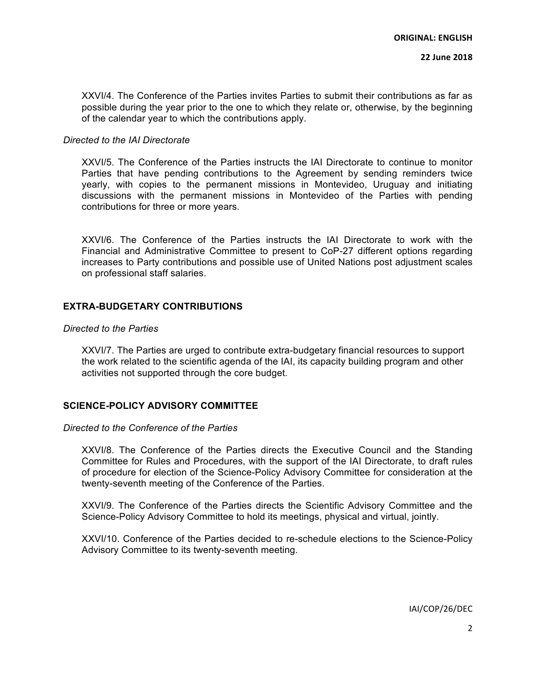XXVI/4. The Conference of the Parties invites Parties to submit their contributions as far as possible during the year prior to the one to which they relate or, otherwise, by the beginning of the calendar year to which the contributions apply.

## *Directed to the IAI Directorate*

XXVI/5. The Conference of the Parties instructs the IAI Directorate to continue to monitor Parties that have pending contributions to the Agreement by sending reminders twice yearly, with copies to the permanent missions in Montevideo, Uruguay and initiating discussions with the permanent missions in Montevideo of the Parties with pending contributions for three or more years.

XXVI/6. The Conference of the Parties instructs the IAI Directorate to work with the Financial and Administrative Committee to present to CoP-27 different options regarding increases to Party contributions and possible use of United Nations post adjustment scales on professional staff salaries.

## **EXTRA-BUDGETARY CONTRIBUTIONS**

## *Directed to the Parties*

XXVI/7. The Parties are urged to contribute extra-budgetary financial resources to support the work related to the scientific agenda of the IAI, its capacity building program and other activities not supported through the core budget.

## **SCIENCE-POLICY ADVISORY COMMITTEE**

#### *Directed to the Conference of the Parties*

XXVI/8. The Conference of the Parties directs the Executive Council and the Standing Committee for Rules and Procedures, with the support of the IAI Directorate, to draft rules of procedure for election of the Science-Policy Advisory Committee for consideration at the twenty-seventh meeting of the Conference of the Parties.

XXVI/9. The Conference of the Parties directs the Scientific Advisory Committee and the Science-Policy Advisory Committee to hold its meetings, physical and virtual, jointly.

XXVI/10. Conference of the Parties decided to re-schedule elections to the Science-Policy Advisory Committee to its twenty-seventh meeting.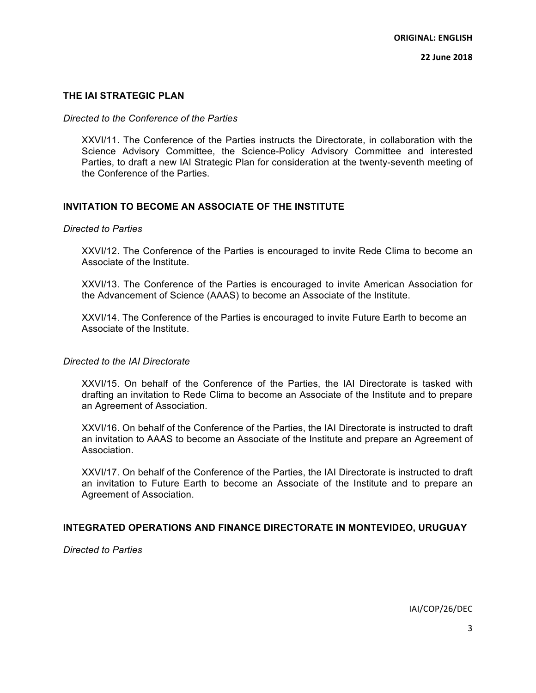## **THE IAI STRATEGIC PLAN**

## *Directed to the Conference of the Parties*

XXVI/11. The Conference of the Parties instructs the Directorate, in collaboration with the Science Advisory Committee, the Science-Policy Advisory Committee and interested Parties, to draft a new IAI Strategic Plan for consideration at the twenty-seventh meeting of the Conference of the Parties.

## **INVITATION TO BECOME AN ASSOCIATE OF THE INSTITUTE**

## *Directed to Parties*

XXVI/12. The Conference of the Parties is encouraged to invite Rede Clima to become an Associate of the Institute.

XXVI/13. The Conference of the Parties is encouraged to invite American Association for the Advancement of Science (AAAS) to become an Associate of the Institute.

XXVI/14. The Conference of the Parties is encouraged to invite Future Earth to become an Associate of the Institute.

#### *Directed to the IAI Directorate*

XXVI/15. On behalf of the Conference of the Parties, the IAI Directorate is tasked with drafting an invitation to Rede Clima to become an Associate of the Institute and to prepare an Agreement of Association.

XXVI/16. On behalf of the Conference of the Parties, the IAI Directorate is instructed to draft an invitation to AAAS to become an Associate of the Institute and prepare an Agreement of Association.

XXVI/17. On behalf of the Conference of the Parties, the IAI Directorate is instructed to draft an invitation to Future Earth to become an Associate of the Institute and to prepare an Agreement of Association.

## **INTEGRATED OPERATIONS AND FINANCE DIRECTORATE IN MONTEVIDEO, URUGUAY**

*Directed to Parties*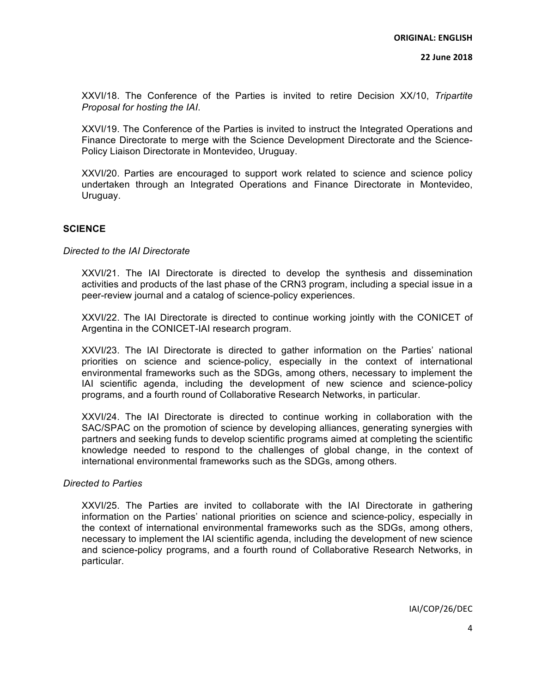**22 June 2018**

XXVI/18. The Conference of the Parties is invited to retire Decision XX/10, *Tripartite Proposal for hosting the IAI*.

XXVI/19. The Conference of the Parties is invited to instruct the Integrated Operations and Finance Directorate to merge with the Science Development Directorate and the Science-Policy Liaison Directorate in Montevideo, Uruguay.

XXVI/20. Parties are encouraged to support work related to science and science policy undertaken through an Integrated Operations and Finance Directorate in Montevideo, Uruguay.

## **SCIENCE**

*Directed to the IAI Directorate*

XXVI/21. The IAI Directorate is directed to develop the synthesis and dissemination activities and products of the last phase of the CRN3 program, including a special issue in a peer-review journal and a catalog of science-policy experiences.

XXVI/22. The IAI Directorate is directed to continue working jointly with the CONICET of Argentina in the CONICET-IAI research program.

XXVI/23. The IAI Directorate is directed to gather information on the Parties' national priorities on science and science-policy, especially in the context of international environmental frameworks such as the SDGs, among others, necessary to implement the IAI scientific agenda, including the development of new science and science-policy programs, and a fourth round of Collaborative Research Networks, in particular.

XXVI/24. The IAI Directorate is directed to continue working in collaboration with the SAC/SPAC on the promotion of science by developing alliances, generating synergies with partners and seeking funds to develop scientific programs aimed at completing the scientific knowledge needed to respond to the challenges of global change, in the context of international environmental frameworks such as the SDGs, among others.

## *Directed to Parties*

XXVI/25. The Parties are invited to collaborate with the IAI Directorate in gathering information on the Parties' national priorities on science and science-policy, especially in the context of international environmental frameworks such as the SDGs, among others, necessary to implement the IAI scientific agenda, including the development of new science and science-policy programs, and a fourth round of Collaborative Research Networks, in particular.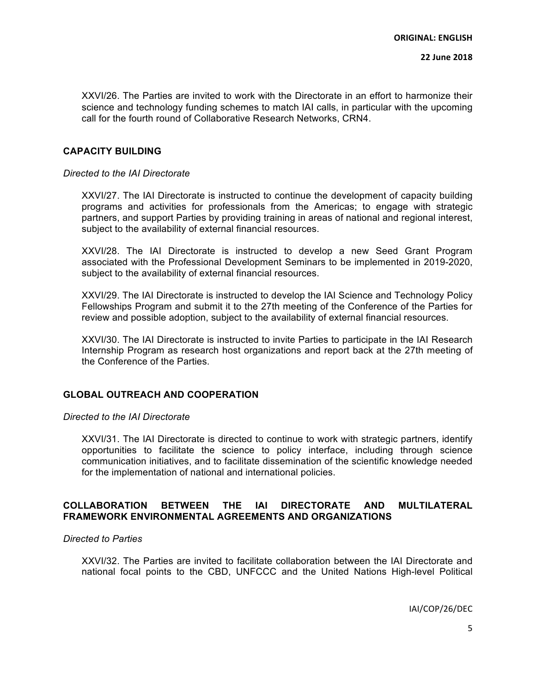XXVI/26. The Parties are invited to work with the Directorate in an effort to harmonize their science and technology funding schemes to match IAI calls, in particular with the upcoming call for the fourth round of Collaborative Research Networks, CRN4.

#### **CAPACITY BUILDING**

*Directed to the IAI Directorate*

XXVI/27. The IAI Directorate is instructed to continue the development of capacity building programs and activities for professionals from the Americas; to engage with strategic partners, and support Parties by providing training in areas of national and regional interest, subject to the availability of external financial resources.

XXVI/28. The IAI Directorate is instructed to develop a new Seed Grant Program associated with the Professional Development Seminars to be implemented in 2019-2020, subject to the availability of external financial resources.

XXVI/29. The IAI Directorate is instructed to develop the IAI Science and Technology Policy Fellowships Program and submit it to the 27th meeting of the Conference of the Parties for review and possible adoption, subject to the availability of external financial resources.

XXVI/30. The IAI Directorate is instructed to invite Parties to participate in the IAI Research Internship Program as research host organizations and report back at the 27th meeting of the Conference of the Parties.

## **GLOBAL OUTREACH AND COOPERATION**

#### *Directed to the IAI Directorate*

XXVI/31. The IAI Directorate is directed to continue to work with strategic partners, identify opportunities to facilitate the science to policy interface, including through science communication initiatives, and to facilitate dissemination of the scientific knowledge needed for the implementation of national and international policies.

# **COLLABORATION BETWEEN THE IAI DIRECTORATE AND MULTILATERAL FRAMEWORK ENVIRONMENTAL AGREEMENTS AND ORGANIZATIONS**

## *Directed to Parties*

XXVI/32. The Parties are invited to facilitate collaboration between the IAI Directorate and national focal points to the CBD, UNFCCC and the United Nations High-level Political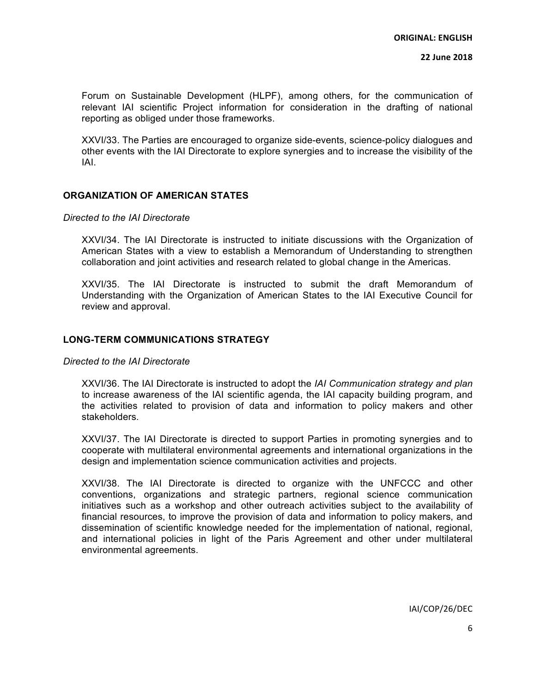Forum on Sustainable Development (HLPF), among others, for the communication of relevant IAI scientific Project information for consideration in the drafting of national reporting as obliged under those frameworks.

XXVI/33. The Parties are encouraged to organize side-events, science-policy dialogues and other events with the IAI Directorate to explore synergies and to increase the visibility of the IAI.

## **ORGANIZATION OF AMERICAN STATES**

#### *Directed to the IAI Directorate*

XXVI/34. The IAI Directorate is instructed to initiate discussions with the Organization of American States with a view to establish a Memorandum of Understanding to strengthen collaboration and joint activities and research related to global change in the Americas.

XXVI/35. The IAI Directorate is instructed to submit the draft Memorandum of Understanding with the Organization of American States to the IAI Executive Council for review and approval.

#### **LONG-TERM COMMUNICATIONS STRATEGY**

*Directed to the IAI Directorate*

XXVI/36. The IAI Directorate is instructed to adopt the *IAI Communication strategy and plan* to increase awareness of the IAI scientific agenda, the IAI capacity building program, and the activities related to provision of data and information to policy makers and other stakeholders.

XXVI/37. The IAI Directorate is directed to support Parties in promoting synergies and to cooperate with multilateral environmental agreements and international organizations in the design and implementation science communication activities and projects.

XXVI/38. The IAI Directorate is directed to organize with the UNFCCC and other conventions, organizations and strategic partners, regional science communication initiatives such as a workshop and other outreach activities subject to the availability of financial resources, to improve the provision of data and information to policy makers, and dissemination of scientific knowledge needed for the implementation of national, regional, and international policies in light of the Paris Agreement and other under multilateral environmental agreements.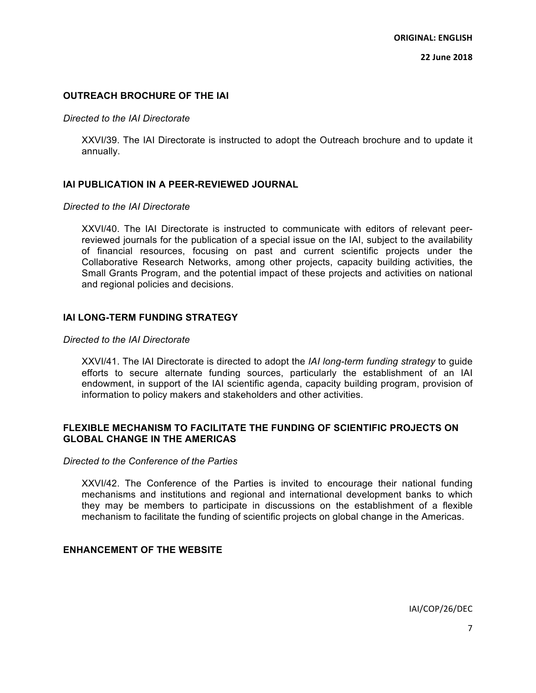## **OUTREACH BROCHURE OF THE IAI**

#### *Directed to the IAI Directorate*

XXVI/39. The IAI Directorate is instructed to adopt the Outreach brochure and to update it annually.

## **IAI PUBLICATION IN A PEER-REVIEWED JOURNAL**

## *Directed to the IAI Directorate*

XXVI/40. The IAI Directorate is instructed to communicate with editors of relevant peerreviewed journals for the publication of a special issue on the IAI, subject to the availability of financial resources, focusing on past and current scientific projects under the Collaborative Research Networks, among other projects, capacity building activities, the Small Grants Program, and the potential impact of these projects and activities on national and regional policies and decisions.

# **IAI LONG-TERM FUNDING STRATEGY**

## *Directed to the IAI Directorate*

XXVI/41. The IAI Directorate is directed to adopt the *IAI long-term funding strategy* to guide efforts to secure alternate funding sources, particularly the establishment of an IAI endowment, in support of the IAI scientific agenda, capacity building program, provision of information to policy makers and stakeholders and other activities.

## **FLEXIBLE MECHANISM TO FACILITATE THE FUNDING OF SCIENTIFIC PROJECTS ON GLOBAL CHANGE IN THE AMERICAS**

#### *Directed to the Conference of the Parties*

XXVI/42. The Conference of the Parties is invited to encourage their national funding mechanisms and institutions and regional and international development banks to which they may be members to participate in discussions on the establishment of a flexible mechanism to facilitate the funding of scientific projects on global change in the Americas.

## **ENHANCEMENT OF THE WEBSITE**